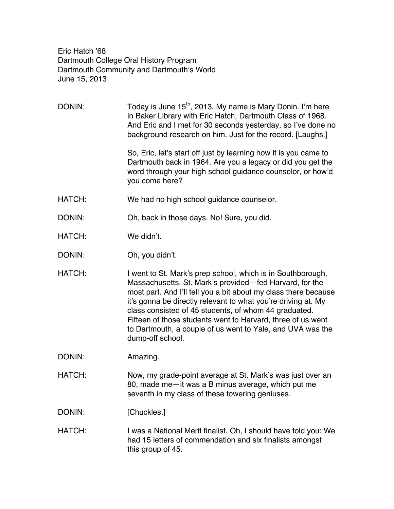Eric Hatch '68 Dartmouth College Oral History Program Dartmouth Community and Dartmouth's World June 15, 2013

DONIN: Today is June  $15<sup>th</sup>$ , 2013. My name is Mary Donin. I'm here in Baker Library with Eric Hatch, Dartmouth Class of 1968. And Eric and I met for 30 seconds yesterday, so I've done no background research on him. Just for the record. [Laughs.]

> So, Eric, let's start off just by learning how it is you came to Dartmouth back in 1964. Are you a legacy or did you get the word through your high school guidance counselor, or how'd you come here?

HATCH: We had no high school guidance counselor.

DONIN: Oh, back in those days. No! Sure, you did.

HATCH: We didn't.

DONIN: Oh, you didn't.

HATCH: I went to St. Mark's prep school, which is in Southborough, Massachusetts. St. Mark's provided—fed Harvard, for the most part. And I'll tell you a bit about my class there because it's gonna be directly relevant to what you're driving at. My class consisted of 45 students, of whom 44 graduated. Fifteen of those students went to Harvard, three of us went to Dartmouth, a couple of us went to Yale, and UVA was the dump-off school.

DONIN: Amazing.

HATCH: Now, my grade-point average at St. Mark's was just over an 80, made me—it was a B minus average, which put me seventh in my class of these towering geniuses.

DONIN: [Chuckles.]

HATCH: I was a National Merit finalist. Oh, I should have told you: We had 15 letters of commendation and six finalists amongst this group of 45.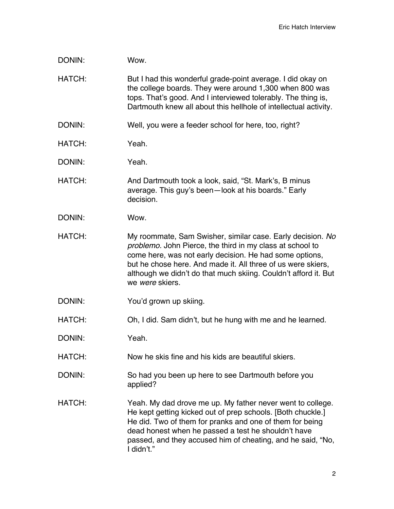| DONIN:        | Wow.                                                                                                                                                                                                                                                                                                                                     |
|---------------|------------------------------------------------------------------------------------------------------------------------------------------------------------------------------------------------------------------------------------------------------------------------------------------------------------------------------------------|
| HATCH:        | But I had this wonderful grade-point average. I did okay on<br>the college boards. They were around 1,300 when 800 was<br>tops. That's good. And I interviewed tolerably. The thing is,<br>Dartmouth knew all about this hellhole of intellectual activity.                                                                              |
| DONIN:        | Well, you were a feeder school for here, too, right?                                                                                                                                                                                                                                                                                     |
| <b>HATCH:</b> | Yeah.                                                                                                                                                                                                                                                                                                                                    |
| DONIN:        | Yeah.                                                                                                                                                                                                                                                                                                                                    |
| HATCH:        | And Dartmouth took a look, said, "St. Mark's, B minus<br>average. This guy's been-look at his boards." Early<br>decision.                                                                                                                                                                                                                |
| DONIN:        | Wow.                                                                                                                                                                                                                                                                                                                                     |
| <b>HATCH:</b> | My roommate, Sam Swisher, similar case. Early decision. No<br>problemo. John Pierce, the third in my class at school to<br>come here, was not early decision. He had some options,<br>but he chose here. And made it. All three of us were skiers,<br>although we didn't do that much skiing. Couldn't afford it. But<br>we were skiers. |
| DONIN:        | You'd grown up skiing.                                                                                                                                                                                                                                                                                                                   |
| HATCH:        | Oh, I did. Sam didn't, but he hung with me and he learned.                                                                                                                                                                                                                                                                               |
| DONIN:        | Yeah.                                                                                                                                                                                                                                                                                                                                    |
| HATCH:        | Now he skis fine and his kids are beautiful skiers.                                                                                                                                                                                                                                                                                      |
| DONIN:        | So had you been up here to see Dartmouth before you<br>applied?                                                                                                                                                                                                                                                                          |
| HATCH:        | Yeah. My dad drove me up. My father never went to college.<br>He kept getting kicked out of prep schools. [Both chuckle.]<br>He did. Two of them for pranks and one of them for being<br>dead honest when he passed a test he shouldn't have<br>passed, and they accused him of cheating, and he said, "No,<br>I didn't."                |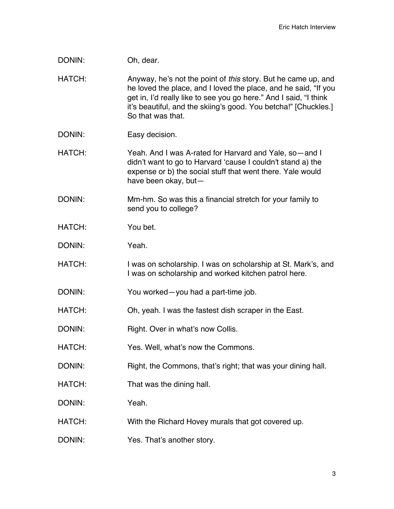| DONIN: | Oh, dear.                                                                                                                                                                                                                                                                                     |
|--------|-----------------------------------------------------------------------------------------------------------------------------------------------------------------------------------------------------------------------------------------------------------------------------------------------|
| HATCH: | Anyway, he's not the point of this story. But he came up, and<br>he loved the place, and I loved the place, and he said, "If you<br>get in, I'd really like to see you go here." And I said, "I think<br>it's beautiful, and the skiing's good. You betcha!" [Chuckles.]<br>So that was that. |
| DONIN: | Easy decision.                                                                                                                                                                                                                                                                                |
| HATCH: | Yeah. And I was A-rated for Harvard and Yale, so—and I<br>didn't want to go to Harvard 'cause I couldn't stand a) the<br>expense or b) the social stuff that went there. Yale would<br>have been okay, but-                                                                                   |
| DONIN: | Mm-hm. So was this a financial stretch for your family to<br>send you to college?                                                                                                                                                                                                             |
| HATCH: | You bet.                                                                                                                                                                                                                                                                                      |
| DONIN: | Yeah.                                                                                                                                                                                                                                                                                         |
| HATCH: | I was on scholarship. I was on scholarship at St. Mark's, and<br>I was on scholarship and worked kitchen patrol here.                                                                                                                                                                         |
| DONIN: | You worked—you had a part-time job.                                                                                                                                                                                                                                                           |
| HATCH: | Oh, yeah. I was the fastest dish scraper in the East.                                                                                                                                                                                                                                         |
| DONIN: | Right. Over in what's now Collis.                                                                                                                                                                                                                                                             |
| HATCH: | Yes. Well, what's now the Commons.                                                                                                                                                                                                                                                            |
| DONIN: | Right, the Commons, that's right; that was your dining hall.                                                                                                                                                                                                                                  |
| HATCH: | That was the dining hall.                                                                                                                                                                                                                                                                     |
| DONIN: | Yeah.                                                                                                                                                                                                                                                                                         |
| HATCH: | With the Richard Hovey murals that got covered up.                                                                                                                                                                                                                                            |
| DONIN: | Yes. That's another story.                                                                                                                                                                                                                                                                    |
|        |                                                                                                                                                                                                                                                                                               |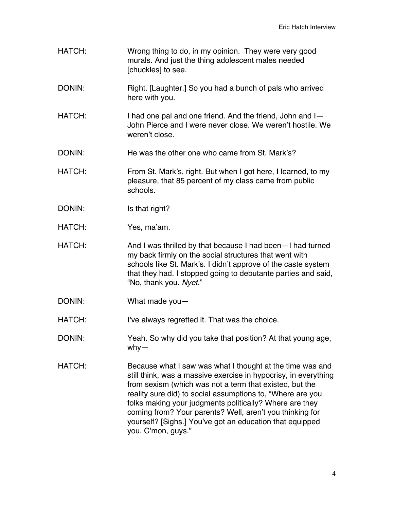- HATCH: Wrong thing to do, in my opinion. They were very good murals. And just the thing adolescent males needed [chuckles] to see.
- DONIN: Right. [Laughter.] So you had a bunch of pals who arrived here with you.
- HATCH: I had one pal and one friend. And the friend, John and I John Pierce and I were never close. We weren't hostile. We weren't close.
- DONIN: He was the other one who came from St. Mark's?
- HATCH: From St. Mark's, right. But when I got here, I learned, to my pleasure, that 85 percent of my class came from public schools.
- DONIN: Is that right?
- HATCH: Yes, ma'am.
- HATCH: And I was thrilled by that because I had been—I had turned my back firmly on the social structures that went with schools like St. Mark's. I didn't approve of the caste system that they had. I stopped going to debutante parties and said, "No, thank you. *Nyet.*"
- DONIN: What made you—
- HATCH: I've always regretted it. That was the choice.
- DONIN: Yeah. So why did you take that position? At that young age, why—
- HATCH: Because what I saw was what I thought at the time was and still think, was a massive exercise in hypocrisy, in everything from sexism (which was not a term that existed, but the reality sure did) to social assumptions to, "Where are you folks making your judgments politically? Where are they coming from? Your parents? Well, aren't you thinking for yourself? [Sighs.] You've got an education that equipped you. C'mon, guys."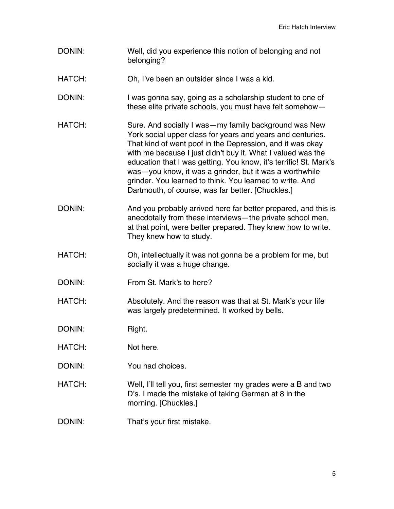- DONIN: Well, did you experience this notion of belonging and not belonging?
- HATCH: Oh, I've been an outsider since I was a kid.
- DONIN: I was gonna say, going as a scholarship student to one of these elite private schools, you must have felt somehow—
- HATCH: Sure. And socially I was—my family background was New York social upper class for years and years and centuries. That kind of went poof in the Depression, and it was okay with me because I just didn't buy it. What I valued was the education that I was getting. You know, it's terrific! St. Mark's was—you know, it was a grinder, but it was a worthwhile grinder. You learned to think. You learned to write. And Dartmouth, of course, was far better. [Chuckles.]
- DONIN: And you probably arrived here far better prepared, and this is anecdotally from these interviews—the private school men, at that point, were better prepared. They knew how to write. They knew how to study.
- HATCH: Oh, intellectually it was not gonna be a problem for me, but socially it was a huge change.
- DONIN: From St. Mark's to here?
- HATCH: Absolutely. And the reason was that at St. Mark's your life was largely predetermined. It worked by bells.
- DONIN: Right.
- HATCH: Not here.
- DONIN: You had choices.
- HATCH: Well, I'll tell you, first semester my grades were a B and two D's. I made the mistake of taking German at 8 in the morning. [Chuckles.]
- DONIN: That's your first mistake.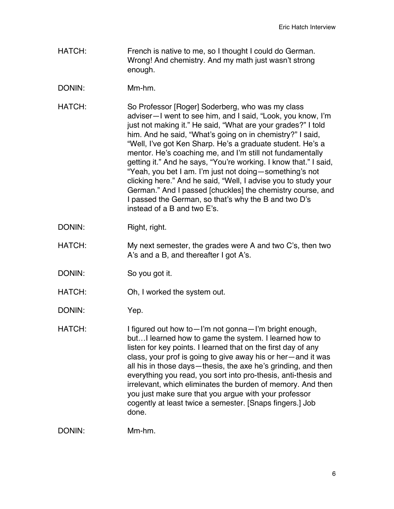- HATCH: French is native to me, so I thought I could do German. Wrong! And chemistry. And my math just wasn't strong enough.
- DONIN: Mm-hm.
- HATCH: So Professor [Roger] Soderberg, who was my class adviser—I went to see him, and I said, "Look, you know, I'm just not making it." He said, "What are your grades?" I told him. And he said, "What's going on in chemistry?" I said, "Well, I've got Ken Sharp. He's a graduate student. He's a mentor. He's coaching me, and I'm still not fundamentally getting it." And he says, "You're working. I know that." I said, "Yeah, you bet I am. I'm just not doing—something's not clicking here." And he said, "Well, I advise you to study your German." And I passed [chuckles] the chemistry course, and I passed the German, so that's why the B and two D's instead of a B and two E's.
- DONIN: Right, right.
- HATCH: My next semester, the grades were A and two C's, then two A's and a B, and thereafter I got A's.
- DONIN: So you got it.
- HATCH: Oh, I worked the system out.
- DONIN: Yep.
- HATCH: I figured out how to I'm not gonna I'm bright enough, but…I learned how to game the system. I learned how to listen for key points. I learned that on the first day of any class, your prof is going to give away his or her—and it was all his in those days—thesis, the axe he's grinding, and then everything you read, you sort into pro-thesis, anti-thesis and irrelevant, which eliminates the burden of memory. And then you just make sure that you argue with your professor cogently at least twice a semester. [Snaps fingers.] Job done.

DONIN: Mm-hm.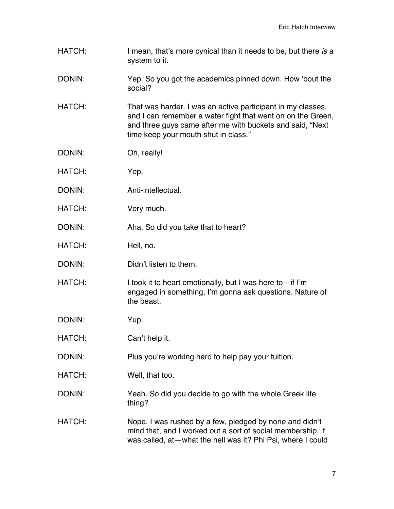- HATCH: I mean, that's more cynical than it needs to be, but there *is* a system to it.
- DONIN: Yep. So you got the academics pinned down. How 'bout the social?
- HATCH: That was harder. I was an active participant in my classes, and I can remember a water fight that went on on the Green, and three guys came after me with buckets and said, "Next time keep your mouth shut in class."
- DONIN: Oh, really!
- HATCH: Yep.
- DONIN: Anti-intellectual.
- HATCH: Very much.
- DONIN: Aha. So did you take that to heart?
- HATCH: Hell, no.
- DONIN: Didn't listen to them.
- HATCH: I took it to heart emotionally, but I was here to-if I'm engaged in something, I'm gonna ask questions. Nature of the beast.
- DONIN: Yup.
- HATCH: Can't help it.
- DONIN: Plus you're working hard to help pay your tuition.
- HATCH: Well, that too.
- DONIN: Yeah. So did you decide to go with the whole Greek life thing?
- HATCH: Nope. I was rushed by a few, pledged by none and didn't mind that, and I worked out a sort of social membership, it was called, at—what the hell was it? Phi Psi, where I could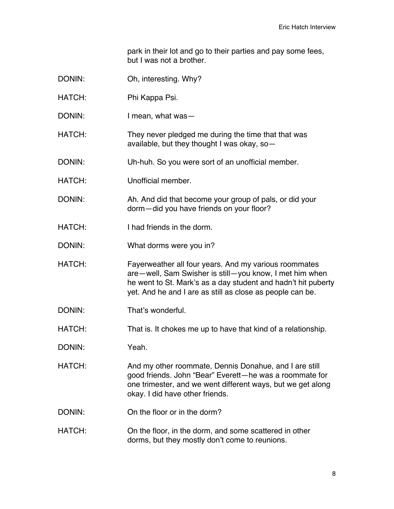park in their lot and go to their parties and pay some fees, but I was not a brother.

- DONIN: Oh, interesting. Why?
- HATCH: Phi Kappa Psi.
- DONIN: I mean, what was—
- HATCH: They never pledged me during the time that that was available, but they thought I was okay, so—
- DONIN: Uh-huh. So you were sort of an unofficial member.
- HATCH: Unofficial member.
- DONIN: Ah. And did that become your group of pals, or did your dorm—did you have friends on your floor?
- HATCH: I had friends in the dorm.
- DONIN: What dorms were you in?
- HATCH: Fayerweather all four years. And my various roommates are—well, Sam Swisher is still—you know, I met him when he went to St. Mark's as a day student and hadn't hit puberty yet. And he and I are as still as close as people can be.
- DONIN: That's wonderful.
- HATCH: That is. It chokes me up to have that kind of a relationship.
- DONIN: Yeah.
- HATCH: And my other roommate, Dennis Donahue, and I are still good friends. John "Bear" Everett—he was a roommate for one trimester, and we went different ways, but we get along okay. I did have other friends.
- DONIN: On the floor or in the dorm?
- HATCH: On the floor, in the dorm, and some scattered in other dorms, but they mostly don't come to reunions.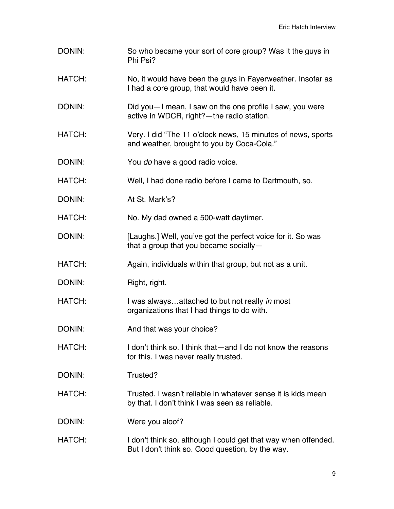| DONIN:        | So who became your sort of core group? Was it the guys in<br>Phi Psi?                                              |
|---------------|--------------------------------------------------------------------------------------------------------------------|
| <b>HATCH:</b> | No, it would have been the guys in Fayerweather. Insofar as<br>I had a core group, that would have been it.        |
| DONIN:        | Did you - I mean, I saw on the one profile I saw, you were<br>active in WDCR, right? - the radio station.          |
| HATCH:        | Very. I did "The 11 o'clock news, 15 minutes of news, sports<br>and weather, brought to you by Coca-Cola."         |
| DONIN:        | You do have a good radio voice.                                                                                    |
| HATCH:        | Well, I had done radio before I came to Dartmouth, so.                                                             |
| DONIN:        | At St. Mark's?                                                                                                     |
| HATCH:        | No. My dad owned a 500-watt daytimer.                                                                              |
| DONIN:        | [Laughs.] Well, you've got the perfect voice for it. So was<br>that a group that you became socially -             |
| HATCH:        | Again, individuals within that group, but not as a unit.                                                           |
| DONIN:        | Right, right.                                                                                                      |
| HATCH:        | I was alwaysattached to but not really in most<br>organizations that I had things to do with.                      |
| DONIN:        | And that was your choice?                                                                                          |
| HATCH:        | I don't think so. I think that—and I do not know the reasons<br>for this. I was never really trusted.              |
| DONIN:        | Trusted?                                                                                                           |
| HATCH:        | Trusted. I wasn't reliable in whatever sense it is kids mean<br>by that. I don't think I was seen as reliable.     |
| DONIN:        | Were you aloof?                                                                                                    |
| HATCH:        | I don't think so, although I could get that way when offended.<br>But I don't think so. Good question, by the way. |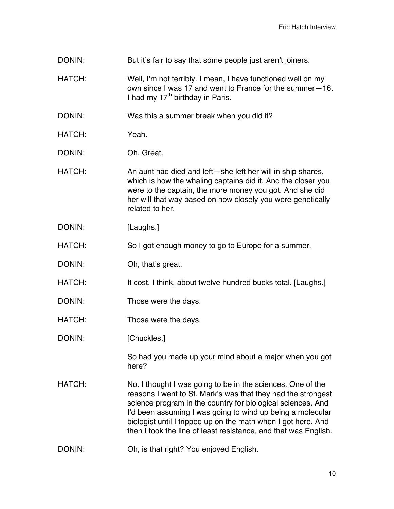- DONIN: But it's fair to say that some people just aren't joiners.
- HATCH: Well, I'm not terribly. I mean, I have functioned well on my own since I was 17 and went to France for the summer—16. I had my  $17<sup>th</sup>$  birthday in Paris.
- DONIN: Was this a summer break when you did it?
- HATCH: Yeah.
- DONIN: Oh. Great.
- HATCH: An aunt had died and left—she left her will in ship shares, which is how the whaling captains did it. And the closer you were to the captain, the more money you got. And she did her will that way based on how closely you were genetically related to her.
- DONIN: [Laughs.]
- HATCH: So I got enough money to go to Europe for a summer.
- DONIN: Oh, that's great.
- HATCH: It cost, I think, about twelve hundred bucks total. [Laughs.]
- DONIN: Those were the days.
- HATCH: Those were the days.
- DONIN: [Chuckles.]

So had you made up your mind about a major when you got here?

- HATCH: No. I thought I was going to be in the sciences. One of the reasons I went to St. Mark's was that they had the strongest science program in the country for biological sciences. And I'd been assuming I was going to wind up being a molecular biologist until I tripped up on the math when I got here. And then I took the line of least resistance, and that was English.
- DONIN: Oh, is that right? You enjoyed English.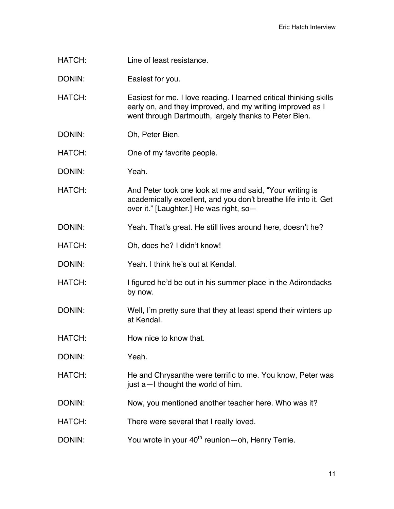HATCH: Line of least resistance.

DONIN: Easiest for you.

HATCH: Easiest for me. I love reading. I learned critical thinking skills early on, and they improved, and my writing improved as I went through Dartmouth, largely thanks to Peter Bien.

- DONIN: Oh, Peter Bien.
- HATCH: One of my favorite people.
- DONIN: Yeah.
- HATCH: And Peter took one look at me and said, "Your writing is academically excellent, and you don't breathe life into it. Get over it." [Laughter.] He was right, so—
- DONIN: Yeah. That's great. He still lives around here, doesn't he?
- HATCH: Oh, does he? I didn't know!
- DONIN: Yeah. I think he's out at Kendal.
- HATCH: I figured he'd be out in his summer place in the Adirondacks by now.
- DONIN: Well, I'm pretty sure that they at least spend their winters up at Kendal.
- HATCH: How nice to know that.
- DONIN: Yeah.
- HATCH: He and Chrysanthe were terrific to me. You know, Peter was just a—I thought the world of him.
- DONIN: Now, you mentioned another teacher here. Who was it?
- HATCH: There were several that I really loved.
- DONIN: You wrote in your 40<sup>th</sup> reunion—oh, Henry Terrie.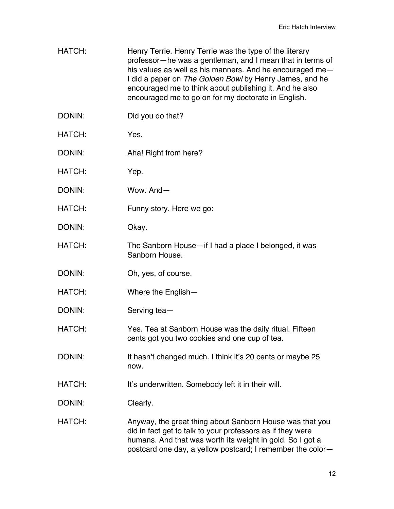- HATCH: Henry Terrie. Henry Terrie was the type of the literary professor—he was a gentleman, and I mean that in terms of his values as well as his manners. And he encouraged me— I did a paper on *The Golden Bowl* by Henry James, and he encouraged me to think about publishing it. And he also encouraged me to go on for my doctorate in English.
- DONIN: Did you do that?
- HATCH: Yes.
- DONIN: Aha! Right from here?
- HATCH: Yep.
- DONIN: Wow. And—
- HATCH: Funny story. Here we go:
- DONIN: Okay.
- HATCH: The Sanborn House—if I had a place I belonged, it was Sanborn House.
- DONIN: Oh, yes, of course.
- HATCH: Where the English—
- DONIN: Serving tea-
- HATCH: Yes. Tea at Sanborn House was the daily ritual. Fifteen cents got you two cookies and one cup of tea.
- DONIN: It hasn't changed much. I think it's 20 cents or maybe 25 now.
- HATCH: It's underwritten. Somebody left it in their will.
- DONIN: Clearly.
- HATCH: Anyway, the great thing about Sanborn House was that you did in fact get to talk to your professors as if they were humans. And that was worth its weight in gold. So I got a postcard one day, a yellow postcard; I remember the color—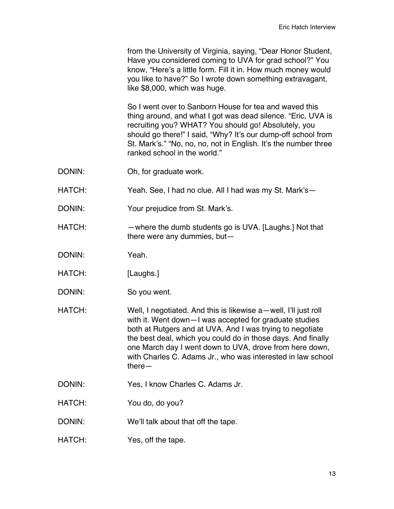from the University of Virginia, saying, "Dear Honor Student, Have you considered coming to UVA for grad school?" You know, "Here's a little form. Fill it in. How much money would you like to have?" So I wrote down something extravagant, like \$8,000, which was huge.

So I went over to Sanborn House for tea and waved this thing around, and what I got was dead silence. "Eric, UVA is recruiting you? WHAT? You should go! Absolutely, you should go there!" I said, "Why? It's our dump-off school from St. Mark's." "No, no, no, not in English. It's the number three ranked school in the world."

- DONIN: Oh, for graduate work.
- HATCH: Yeah. See, I had no clue. All I had was my St. Mark's—
- DONIN: Your prejudice from St. Mark's.
- HATCH: —where the dumb students go is UVA. [Laughs.] Not that there were any dummies, but—
- DONIN: Yeah.
- HATCH: [Laughs.]
- DONIN: So you went.
- HATCH: Well, I negotiated. And this is likewise a—well, I'll just roll with it. Went down—I was accepted for graduate studies both at Rutgers and at UVA. And I was trying to negotiate the best deal, which you could do in those days. And finally one March day I went down to UVA, drove from here down, with Charles C. Adams Jr., who was interested in law school there—
- DONIN: Yes, I know Charles C. Adams Jr.
- HATCH: You do, do you?
- DONIN: We'll talk about that off the tape.
- HATCH: Yes, off the tape.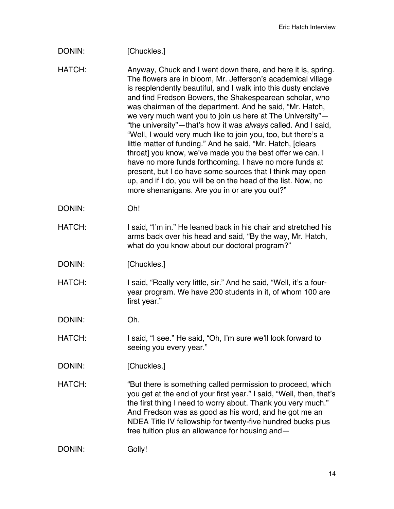## DONIN: [Chuckles.]

- HATCH: Anyway, Chuck and I went down there, and here it is, spring. The flowers are in bloom, Mr. Jefferson's academical village is resplendently beautiful, and I walk into this dusty enclave and find Fredson Bowers, the Shakespearean scholar, who was chairman of the department. And he said, "Mr. Hatch, we very much want you to join us here at The University"— "the university"—that's how it was *always* called. And I said, "Well, I would very much like to join you, too, but there's a little matter of funding." And he said, "Mr. Hatch, [clears throat] you know, we've made you the best offer we can. I have no more funds forthcoming. I have no more funds at present, but I do have some sources that I think may open up, and if I do, you will be on the head of the list. Now, no more shenanigans. Are you in or are you out?"
- DONIN: Oh!
- HATCH: I said, "I'm in." He leaned back in his chair and stretched his arms back over his head and said, "By the way, Mr. Hatch, what do you know about our doctoral program?"
- DONIN: [Chuckles.]
- HATCH: I said, "Really very little, sir." And he said, "Well, it's a fouryear program. We have 200 students in it, of whom 100 are first year."
- DONIN: Oh.
- HATCH: I said, "I see." He said, "Oh, I'm sure we'll look forward to seeing you every year."
- DONIN: [Chuckles.]
- HATCH: "But there is something called permission to proceed, which you get at the end of your first year." I said, "Well, then, that's the first thing I need to worry about. Thank you very much." And Fredson was as good as his word, and he got me an NDEA Title IV fellowship for twenty-five hundred bucks plus free tuition plus an allowance for housing and—

```
DONIN: Golly!
```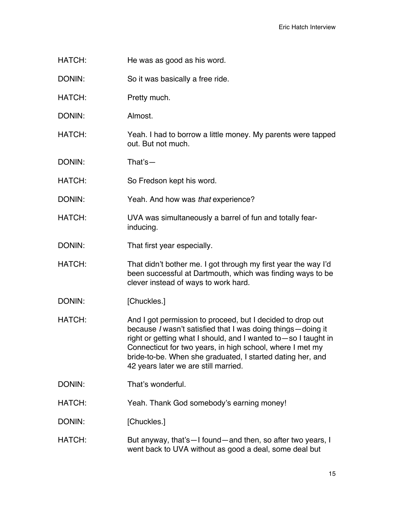- HATCH: He was as good as his word.
- DONIN: So it was basically a free ride.
- HATCH: Pretty much.
- DONIN: Almost.
- HATCH: Yeah. I had to borrow a little money. My parents were tapped out. But not much.
- DONIN: That's—
- HATCH: So Fredson kept his word.
- DONIN: Yeah. And how was *that* experience?
- HATCH: UVA was simultaneously a barrel of fun and totally fearinducing.
- DONIN: That first year especially.
- HATCH: That didn't bother me. I got through my first year the way I'd been successful at Dartmouth, which was finding ways to be clever instead of ways to work hard.
- DONIN: [Chuckles.]
- HATCH: And I got permission to proceed, but I decided to drop out because *I* wasn't satisfied that I was doing things—doing it right or getting what I should, and I wanted to—so I taught in Connecticut for two years, in high school, where I met my bride-to-be. When she graduated, I started dating her, and 42 years later we are still married.
- DONIN: That's wonderful.
- HATCH: Yeah. Thank God somebody's earning money!
- DONIN: [Chuckles.]
- HATCH: But anyway, that's—I found—and then, so after two years, I went back to UVA without as good a deal, some deal but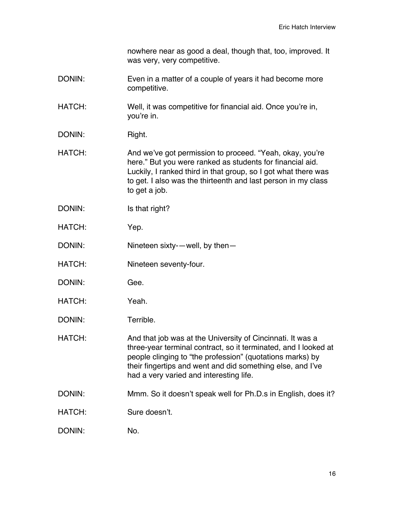nowhere near as good a deal, though that, too, improved. It was very, very competitive.

- DONIN: Even in a matter of a couple of years it had become more competitive.
- HATCH: Well, it was competitive for financial aid. Once you're in, you're in.
- DONIN: Right.

HATCH: And we've got permission to proceed. "Yeah, okay, you're here." But you were ranked as students for financial aid. Luckily, I ranked third in that group, so I got what there was to get. I also was the thirteenth and last person in my class to get a job.

- DONIN: Is that right?
- HATCH: Yep.
- DONIN: Nineteen sixty-—well, by then—
- HATCH: Nineteen seventy-four.
- DONIN: Gee.
- HATCH: Yeah.
- DONIN: Terrible.
- HATCH: And that job was at the University of Cincinnati. It was a three-year terminal contract, so it terminated, and I looked at people clinging to "the profession" (quotations marks) by their fingertips and went and did something else, and I've had a very varied and interesting life.
- DONIN: Mmm. So it doesn't speak well for Ph.D.s in English, does it?
- HATCH: Sure doesn't.

DONIN: No.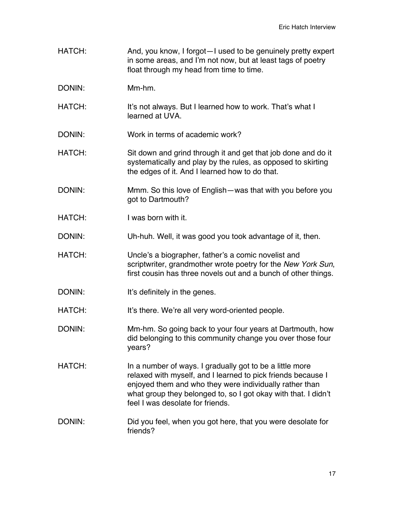- HATCH: And, you know, I forgot—I used to be genuinely pretty expert in some areas, and I'm not now, but at least tags of poetry float through my head from time to time.
- DONIN: Mm-hm.
- HATCH: It's not always. But I learned how to work. That's what I learned at UVA.
- DONIN: Work in terms of academic work?
- HATCH: Sit down and grind through it and get that job done and do it systematically and play by the rules, as opposed to skirting the edges of it. And I learned how to do that.
- DONIN: Mmm. So this love of English—was that with you before you got to Dartmouth?
- HATCH: I was born with it.
- DONIN: Uh-huh. Well, it was good you took advantage of it, then.
- HATCH: Uncle's a biographer, father's a comic novelist and scriptwriter, grandmother wrote poetry for the *New York Sun*, first cousin has three novels out and a bunch of other things.
- DONIN: It's definitely in the genes.
- HATCH: It's there. We're all very word-oriented people.
- DONIN: Mm-hm. So going back to your four years at Dartmouth, how did belonging to this community change you over those four years?
- HATCH: In a number of ways. I gradually got to be a little more relaxed with myself, and I learned to pick friends because I enjoyed them and who they were individually rather than what group they belonged to, so I got okay with that. I didn't feel I was desolate for friends.
- DONIN: Did you feel, when you got here, that you were desolate for friends?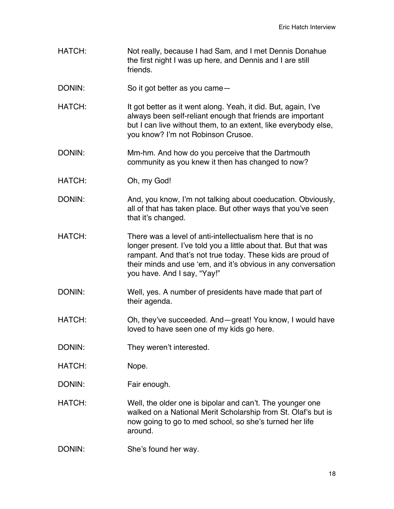- HATCH: Not really, because I had Sam, and I met Dennis Donahue the first night I was up here, and Dennis and I are still friends.
- DONIN: So it got better as you came—
- HATCH: It got better as it went along. Yeah, it did. But, again, I've always been self-reliant enough that friends are important but I can live without them, to an extent, like everybody else, you know? I'm not Robinson Crusoe.
- DONIN: Mm-hm. And how do you perceive that the Dartmouth community as you knew it then has changed to now?
- HATCH: Oh, my God!
- DONIN: And, you know, I'm not talking about coeducation. Obviously, all of that has taken place. But other ways that you've seen that it's changed.
- HATCH: There was a level of anti-intellectualism here that is no longer present. I've told you a little about that. But that was rampant. And that's not true today. These kids are proud of their minds and use 'em, and it's obvious in any conversation you have. And I say, "Yay!"
- DONIN: Well, yes. A number of presidents have made that part of their agenda.
- HATCH: Oh, they've succeeded. And—great! You know, I would have loved to have seen one of my kids go here.
- DONIN: They weren't interested.
- HATCH: Nope.
- DONIN: Fair enough.
- HATCH: Well, the older one is bipolar and can't. The younger one walked on a National Merit Scholarship from St. Olaf's but is now going to go to med school, so she's turned her life around.
- DONIN: She's found her way.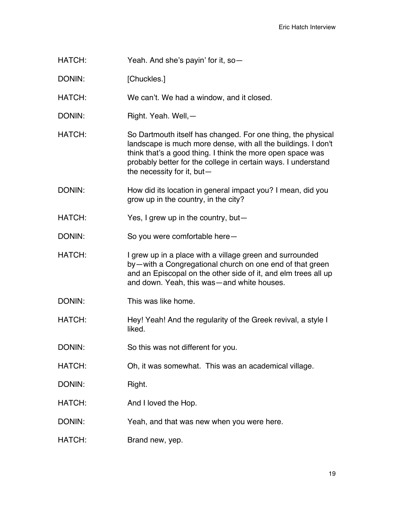- HATCH: Yeah. And she's payin' for it, so—
- DONIN: [Chuckles.]
- HATCH: We can't. We had a window, and it closed.
- DONIN: Right. Yeah. Well, —
- HATCH: So Dartmouth itself has changed. For one thing, the physical landscape is much more dense, with all the buildings. I don't think that's a good thing. I think the more open space was probably better for the college in certain ways. I understand the necessity for it, but—
- DONIN: How did its location in general impact you? I mean, did you grow up in the country, in the city?
- HATCH: Yes, I grew up in the country, but-
- DONIN: So you were comfortable here-
- HATCH: I grew up in a place with a village green and surrounded by—with a Congregational church on one end of that green and an Episcopal on the other side of it, and elm trees all up and down. Yeah, this was—and white houses.
- DONIN: This was like home.
- HATCH: Hey! Yeah! And the regularity of the Greek revival, a style I liked.
- DONIN: So this was not different for you.
- HATCH: Oh, it was somewhat. This was an academical village.
- DONIN: Right.
- HATCH: And I loved the Hop.
- DONIN: Yeah, and that was new when you were here.
- HATCH: Brand new, yep.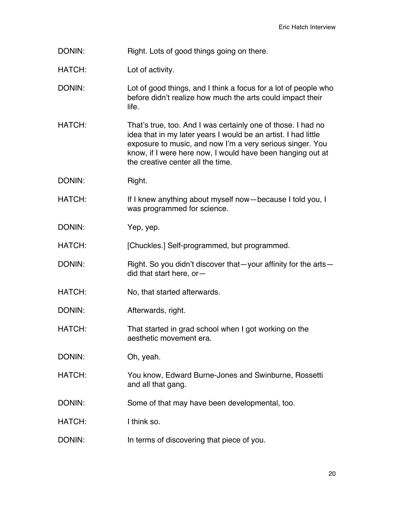- DONIN: Right. Lots of good things going on there.
- HATCH: Lot of activity.
- DONIN: Lot of good things, and I think a focus for a lot of people who before didn't realize how much the arts could impact their life.
- HATCH: That's true, too. And I was certainly one of those. I had no idea that in my later years I would be an artist. I had little exposure to music, and now I'm a very serious singer. You know, if I were here now, I would have been hanging out at the creative center all the time.
- DONIN: Right.
- HATCH: If I knew anything about myself now—because I told you, I was programmed for science.
- DONIN: Yep, yep.

HATCH: [Chuckles.] Self-programmed, but programmed.

- DONIN: Right. So you didn't discover that—your affinity for the arts did that start here, or—
- HATCH: No, that started afterwards.
- DONIN: Afterwards, right.
- HATCH: That started in grad school when I got working on the aesthetic movement era.
- DONIN: Oh, yeah.
- HATCH: You know, Edward Burne-Jones and Swinburne, Rossetti and all that gang.
- DONIN: Some of that may have been developmental, too.
- HATCH: I think so.
- DONIN: In terms of discovering that piece of you.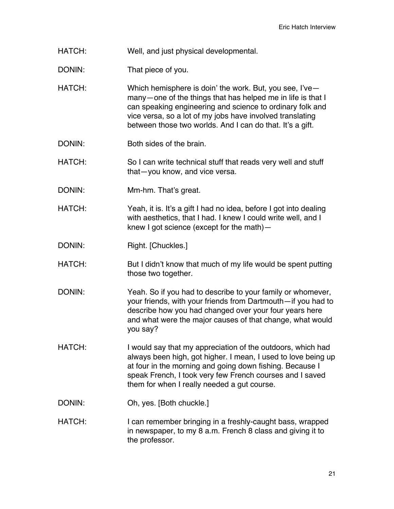- HATCH: Well, and just physical developmental.
- DONIN: That piece of you.
- HATCH: Which hemisphere is doin' the work. But, you see, I'vemany—one of the things that has helped me in life is that I can speaking engineering and science to ordinary folk and vice versa, so a lot of my jobs have involved translating between those two worlds. And I can do that. It's a gift.
- DONIN: Both sides of the brain.
- HATCH: So I can write technical stuff that reads very well and stuff that—you know, and vice versa.
- DONIN: Mm-hm. That's great.
- HATCH: Yeah, it is. It's a gift I had no idea, before I got into dealing with aesthetics, that I had. I knew I could write well, and I knew I got science (except for the math)—
- DONIN: Right. [Chuckles.]
- HATCH: But I didn't know that much of my life would be spent putting those two together.
- DONIN: Yeah. So if you had to describe to your family or whomever, your friends, with your friends from Dartmouth—if you had to describe how you had changed over your four years here and what were the major causes of that change, what would you say?
- HATCH: I would say that my appreciation of the outdoors, which had always been high, got higher. I mean, I used to love being up at four in the morning and going down fishing. Because I speak French, I took very few French courses and I saved them for when I really needed a gut course.
- DONIN: Oh, yes. [Both chuckle.]
- HATCH: I can remember bringing in a freshly-caught bass, wrapped in newspaper, to my 8 a.m. French 8 class and giving it to the professor.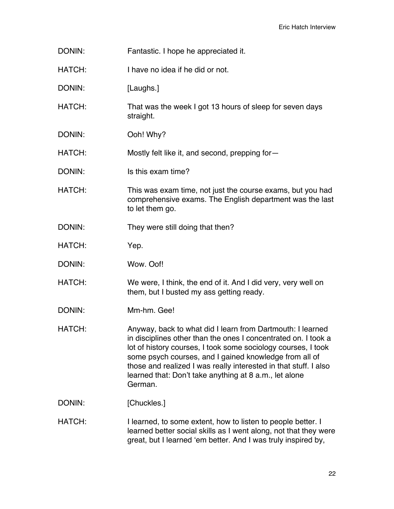- DONIN: Fantastic. I hope he appreciated it.
- HATCH: I have no idea if he did or not.
- DONIN: [Laughs.]
- HATCH: That was the week I got 13 hours of sleep for seven days straight.
- DONIN: Ooh! Why?
- HATCH: Mostly felt like it, and second, prepping for-
- DONIN: Is this exam time?
- HATCH: This was exam time, not just the course exams, but you had comprehensive exams. The English department was the last to let them go.
- DONIN: They were still doing that then?
- HATCH: Yep.
- DONIN: Wow. Oof!
- HATCH: We were, I think, the end of it. And I did very, very well on them, but I busted my ass getting ready.
- DONIN: Mm-hm. Gee!
- HATCH: Anyway, back to what did I learn from Dartmouth: I learned in disciplines other than the ones I concentrated on. I took a lot of history courses, I took some sociology courses, I took some psych courses, and I gained knowledge from all of those and realized I was really interested in that stuff. I also learned that: Don't take anything at 8 a.m., let alone German.
- DONIN: [Chuckles.]
- HATCH: I learned, to some extent, how to listen to people better. I learned better social skills as I went along, not that they were great, but I learned 'em better. And I was truly inspired by,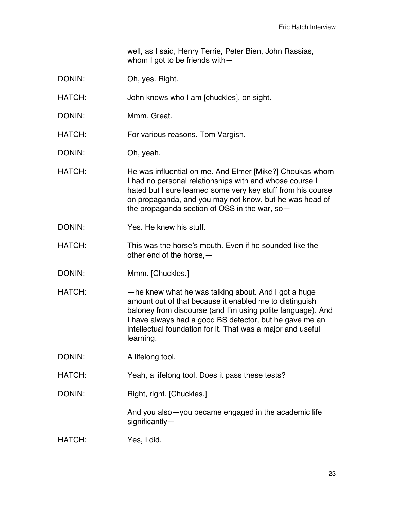well, as I said, Henry Terrie, Peter Bien, John Rassias, whom I got to be friends with—

- DONIN: Oh, yes. Right.
- HATCH: John knows who I am [chuckles], on sight.
- DONIN: Mmm. Great.
- HATCH: For various reasons. Tom Vargish.
- DONIN: Oh, yeah.
- HATCH: He was influential on me. And Elmer [Mike?] Choukas whom I had no personal relationships with and whose course I hated but I sure learned some very key stuff from his course on propaganda, and you may not know, but he was head of the propaganda section of OSS in the war, so—
- DONIN: Yes. He knew his stuff.
- HATCH: This was the horse's mouth. Even if he sounded like the other end of the horse,—
- DONIN: Mmm. [Chuckles.]
- HATCH: — he knew what he was talking about. And I got a huge amount out of that because it enabled me to distinguish baloney from discourse (and I'm using polite language). And I have always had a good BS detector, but he gave me an intellectual foundation for it. That was a major and useful learning.
- DONIN: A lifelong tool.
- HATCH: Yeah, a lifelong tool. Does it pass these tests?
- DONIN: Right, right. [Chuckles.]

And you also—you became engaged in the academic life significantly—

HATCH: Yes, I did.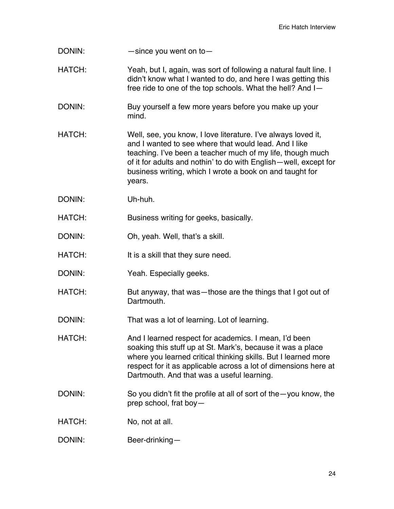- DONIN: — since you went on to
- HATCH: Yeah, but I, again, was sort of following a natural fault line. I didn't know what I wanted to do, and here I was getting this free ride to one of the top schools. What the hell? And I—
- DONIN: Buy yourself a few more years before you make up your mind.
- HATCH: Well, see, you know, I love literature. I've always loved it, and I wanted to see where that would lead. And I like teaching. I've been a teacher much of my life, though much of it for adults and nothin' to do with English—well, except for business writing, which I wrote a book on and taught for years.
- DONIN: Uh-huh.
- HATCH: Business writing for geeks, basically.
- DONIN: Oh, yeah. Well, that's a skill.
- HATCH: It is a skill that they sure need.
- DONIN: Yeah. Especially geeks.
- HATCH: But anyway, that was—those are the things that I got out of Dartmouth.
- DONIN: That was a lot of learning. Lot of learning.
- HATCH: And I learned respect for academics. I mean, I'd been soaking this stuff up at St. Mark's, because it was a place where you learned critical thinking skills. But I learned more respect for it as applicable across a lot of dimensions here at Dartmouth. And that was a useful learning.
- DONIN: So you didn't fit the profile at all of sort of the—you know, the prep school, frat boy—
- HATCH: No, not at all.
- DONIN: Beer-drinking—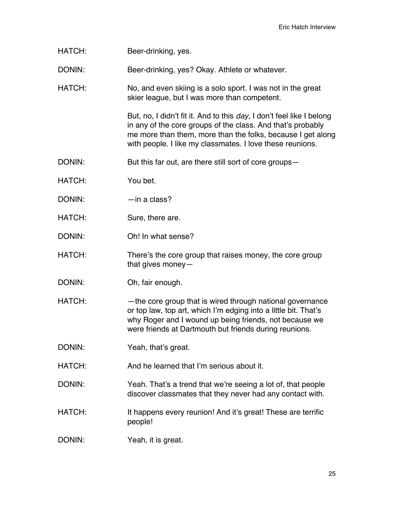HATCH: Beer-drinking, yes.

DONIN: Beer-drinking, yes? Okay. Athlete or whatever.

HATCH: No, and even skiing is a solo sport. I was not in the great skier league, but I was more than competent.

> But, no, I didn't fit it. And to this *day*, I don't feel like I belong in any of the core groups of the class. And that's probably me more than them, more than the folks, because I get along with people. I like my classmates. I love these reunions.

- DONIN: But this far out, are there still sort of core groups—
- HATCH: You bet.
- DONIN: —in a class?
- HATCH: Sure, there are.
- DONIN: Oh! In what sense?
- HATCH: There's the core group that raises money, the core group that gives money—
- DONIN: Oh, fair enough.
- HATCH: —the core group that is wired through national governance or top law, top art, which I'm edging into a little bit. That's why Roger and I wound up being friends, not because we were friends at Dartmouth but friends during reunions.
- DONIN: Yeah, that's great.
- HATCH: And he learned that I'm serious about it.
- DONIN: Yeah. That's a trend that we're seeing a lot of, that people discover classmates that they never had any contact with.
- HATCH: It happens every reunion! And it's great! These are terrific people!
- DONIN: Yeah, it is great.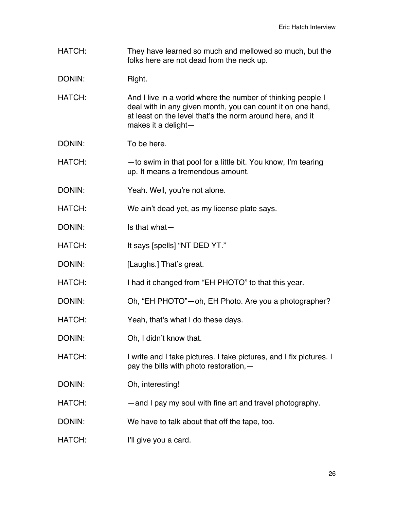HATCH: They have learned so much and mellowed so much, but the folks here are not dead from the neck up.

DONIN: Right.

- HATCH: And I live in a world where the number of thinking people I deal with in any given month, you can count it on one hand, at least on the level that's the norm around here, and it makes it a delight—
- DONIN: To be here.

HATCH: — —to swim in that pool for a little bit. You know, I'm tearing up. It means a tremendous amount.

- DONIN: Yeah. Well, you're not alone.
- HATCH: We ain't dead yet, as my license plate says.
- DONIN: Is that what—
- HATCH: It says [spells] "NT DED YT."
- DONIN: [Laughs.] That's great.
- HATCH: I had it changed from "EH PHOTO" to that this year.
- DONIN: Oh, "EH PHOTO"—oh, EH Photo. Are you a photographer?
- HATCH: Yeah, that's what I do these days.
- DONIN: Oh, I didn't know that.
- HATCH: I write and I take pictures. I take pictures, and I fix pictures. I pay the bills with photo restoration,—
- DONIN: Oh, interesting!
- HATCH: — and I pay my soul with fine art and travel photography.
- DONIN: We have to talk about that off the tape, too.
- HATCH: I'll give you a card.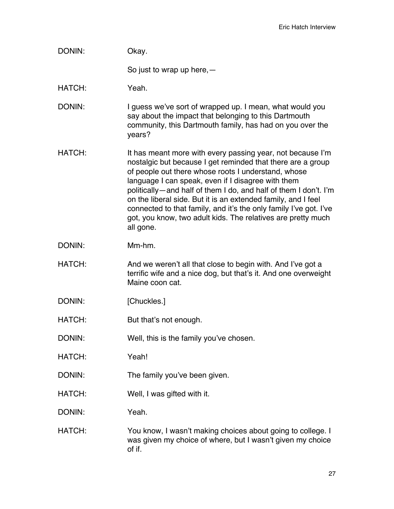| DONIN:        | Okay.                                                                                                                                                                                                                                                                                                                                                                                                                                                                                                                         |
|---------------|-------------------------------------------------------------------------------------------------------------------------------------------------------------------------------------------------------------------------------------------------------------------------------------------------------------------------------------------------------------------------------------------------------------------------------------------------------------------------------------------------------------------------------|
|               | So just to wrap up here, $-$                                                                                                                                                                                                                                                                                                                                                                                                                                                                                                  |
| HATCH:        | Yeah.                                                                                                                                                                                                                                                                                                                                                                                                                                                                                                                         |
| DONIN:        | I guess we've sort of wrapped up. I mean, what would you<br>say about the impact that belonging to this Dartmouth<br>community, this Dartmouth family, has had on you over the<br>years?                                                                                                                                                                                                                                                                                                                                      |
| HATCH:        | It has meant more with every passing year, not because I'm<br>nostalgic but because I get reminded that there are a group<br>of people out there whose roots I understand, whose<br>language I can speak, even if I disagree with them<br>politically—and half of them I do, and half of them I don't. I'm<br>on the liberal side. But it is an extended family, and I feel<br>connected to that family, and it's the only family I've got. I've<br>got, you know, two adult kids. The relatives are pretty much<br>all gone. |
| DONIN:        | Mm-hm.                                                                                                                                                                                                                                                                                                                                                                                                                                                                                                                        |
| <b>HATCH:</b> | And we weren't all that close to begin with. And I've got a<br>terrific wife and a nice dog, but that's it. And one overweight<br>Maine coon cat.                                                                                                                                                                                                                                                                                                                                                                             |
| DONIN:        | [Chuckles.]                                                                                                                                                                                                                                                                                                                                                                                                                                                                                                                   |
| HATCH:        | But that's not enough.                                                                                                                                                                                                                                                                                                                                                                                                                                                                                                        |
| DONIN:        | Well, this is the family you've chosen.                                                                                                                                                                                                                                                                                                                                                                                                                                                                                       |
| HATCH:        | Yeah!                                                                                                                                                                                                                                                                                                                                                                                                                                                                                                                         |
| DONIN:        | The family you've been given.                                                                                                                                                                                                                                                                                                                                                                                                                                                                                                 |
| HATCH:        | Well, I was gifted with it.                                                                                                                                                                                                                                                                                                                                                                                                                                                                                                   |
| DONIN:        | Yeah.                                                                                                                                                                                                                                                                                                                                                                                                                                                                                                                         |
| HATCH:        | You know, I wasn't making choices about going to college. I<br>was given my choice of where, but I wasn't given my choice<br>of if.                                                                                                                                                                                                                                                                                                                                                                                           |